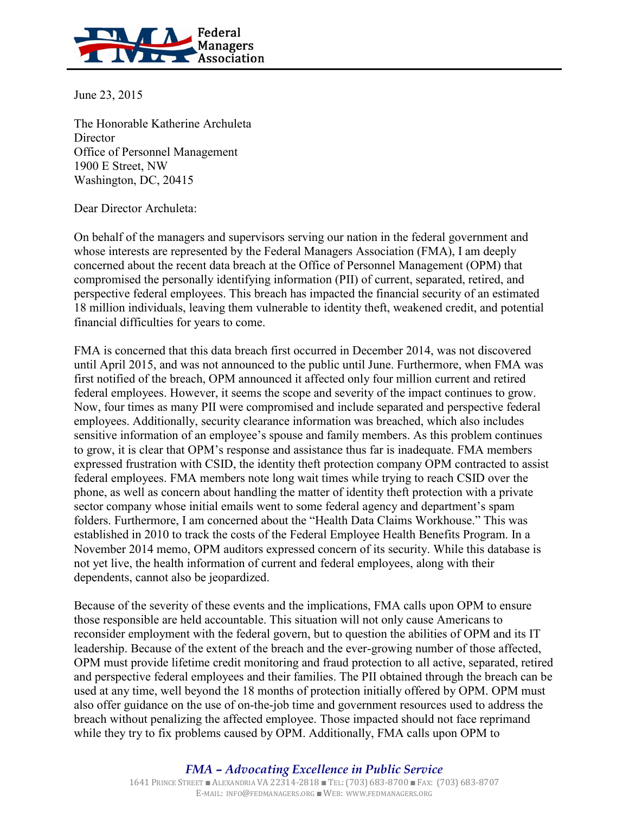

June 23, 2015

The Honorable Katherine Archuleta **Director** Office of Personnel Management 1900 E Street, NW Washington, DC, 20415

Dear Director Archuleta:

On behalf of the managers and supervisors serving our nation in the federal government and whose interests are represented by the Federal Managers Association (FMA), I am deeply concerned about the recent data breach at the Office of Personnel Management (OPM) that compromised the personally identifying information (PII) of current, separated, retired, and perspective federal employees. This breach has impacted the financial security of an estimated 18 million individuals, leaving them vulnerable to identity theft, weakened credit, and potential financial difficulties for years to come.

FMA is concerned that this data breach first occurred in December 2014, was not discovered until April 2015, and was not announced to the public until June. Furthermore, when FMA was first notified of the breach, OPM announced it affected only four million current and retired federal employees. However, it seems the scope and severity of the impact continues to grow. Now, four times as many PII were compromised and include separated and perspective federal employees. Additionally, security clearance information was breached, which also includes sensitive information of an employee's spouse and family members. As this problem continues to grow, it is clear that OPM's response and assistance thus far is inadequate. FMA members expressed frustration with CSID, the identity theft protection company OPM contracted to assist federal employees. FMA members note long wait times while trying to reach CSID over the phone, as well as concern about handling the matter of identity theft protection with a private sector company whose initial emails went to some federal agency and department's spam folders. Furthermore, I am concerned about the "Health Data Claims Workhouse." This was established in 2010 to track the costs of the Federal Employee Health Benefits Program. In a November 2014 memo, OPM auditors expressed concern of its security. While this database is not yet live, the health information of current and federal employees, along with their dependents, cannot also be jeopardized.

Because of the severity of these events and the implications, FMA calls upon OPM to ensure those responsible are held accountable. This situation will not only cause Americans to reconsider employment with the federal govern, but to question the abilities of OPM and its IT leadership. Because of the extent of the breach and the ever-growing number of those affected, OPM must provide lifetime credit monitoring and fraud protection to all active, separated, retired and perspective federal employees and their families. The PII obtained through the breach can be used at any time, well beyond the 18 months of protection initially offered by OPM. OPM must also offer guidance on the use of on-the-job time and government resources used to address the breach without penalizing the affected employee. Those impacted should not face reprimand while they try to fix problems caused by OPM. Additionally, FMA calls upon OPM to

> *FMA – Advocating Excellence in Public Service* 1641 PRINCE STREET ■ ALEXANDRIA VA 22314-2818 ■ TEL:(703) 683-8700 ■ FAX: (703) 683-8707 E-MAIL: INFO@FEDMANAGERS.ORG ■ WEB: WWW.[FEDMANAGERS](http://www.fedmanagers.org/).ORG